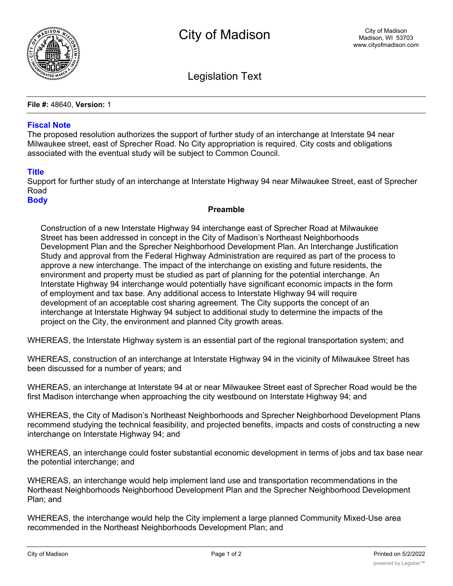

Legislation Text

**File #:** 48640, **Version:** 1

## **Fiscal Note**

The proposed resolution authorizes the support of further study of an interchange at Interstate 94 near Milwaukee street, east of Sprecher Road. No City appropriation is required. City costs and obligations associated with the eventual study will be subject to Common Council.

## **Title**

Support for further study of an interchange at Interstate Highway 94 near Milwaukee Street, east of Sprecher Road

**Body**

## **Preamble**

Construction of a new Interstate Highway 94 interchange east of Sprecher Road at Milwaukee Street has been addressed in concept in the City of Madison's Northeast Neighborhoods Development Plan and the Sprecher Neighborhood Development Plan. An Interchange Justification Study and approval from the Federal Highway Administration are required as part of the process to approve a new interchange. The impact of the interchange on existing and future residents, the environment and property must be studied as part of planning for the potential interchange. An Interstate Highway 94 interchange would potentially have significant economic impacts in the form of employment and tax base. Any additional access to Interstate Highway 94 will require development of an acceptable cost sharing agreement. The City supports the concept of an interchange at Interstate Highway 94 subject to additional study to determine the impacts of the project on the City, the environment and planned City growth areas.

WHEREAS, the Interstate Highway system is an essential part of the regional transportation system; and

WHEREAS, construction of an interchange at Interstate Highway 94 in the vicinity of Milwaukee Street has been discussed for a number of years; and

WHEREAS, an interchange at Interstate 94 at or near Milwaukee Street east of Sprecher Road would be the first Madison interchange when approaching the city westbound on Interstate Highway 94; and

WHEREAS, the City of Madison's Northeast Neighborhoods and Sprecher Neighborhood Development Plans recommend studying the technical feasibility, and projected benefits, impacts and costs of constructing a new interchange on Interstate Highway 94; and

WHEREAS, an interchange could foster substantial economic development in terms of jobs and tax base near the potential interchange; and

WHEREAS, an interchange would help implement land use and transportation recommendations in the Northeast Neighborhoods Neighborhood Development Plan and the Sprecher Neighborhood Development Plan; and

WHEREAS, the interchange would help the City implement a large planned Community Mixed-Use area recommended in the Northeast Neighborhoods Development Plan; and